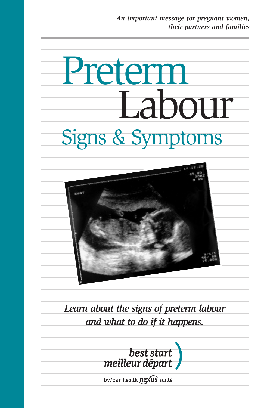# Preterm Labour Signs & Symptoms



*Learn about the signs of preterm labour and what to do if it happens.*



by/par health nexus santé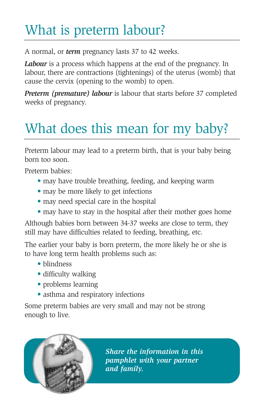# What is preterm labour?

A normal, or *term* pregnancy lasts 37 to 42 weeks.

*Labour* is a process which happens at the end of the pregnancy. In labour, there are contractions (tightenings) of the uterus (womb) that cause the cervix (opening to the womb) to open.

*Preterm (premature) labour* is labour that starts before 37 completed weeks of pregnancy.

# What does this mean for my baby?

Preterm labour may lead to a preterm birth, that is your baby being born too soon.

Preterm babies:

- may have trouble breathing, feeding, and keeping warm
- may be more likely to get infections
- may need special care in the hospital
- may have to stay in the hospital after their mother goes home

Although babies born between 34-37 weeks are close to term, they still may have difficulties related to feeding, breathing, etc.

The earlier your baby is born preterm, the more likely he or she is to have long term health problems such as:

- blindness
- difficulty walking
- problems learning
- asthma and respiratory infections

Some preterm babies are very small and may not be strong enough to live.



*Share the information in this pamphlet with your partner and family.*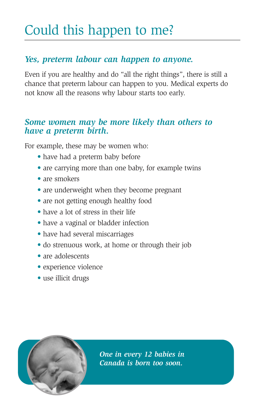# Could this happen to me?

## *Yes, preterm labour can happen to anyone.*

Even if you are healthy and do "all the right things", there is still a chance that preterm labour can happen to you. Medical experts do not know all the reasons why labour starts too early.

## *Some women may be more likely than others to have a preterm birth.*

For example, these may be women who:

- have had a preterm baby before
- are carrying more than one baby, for example twins
- are smokers
- are underweight when they become pregnant
- are not getting enough healthy food
- have a lot of stress in their life
- have a vaginal or bladder infection
- have had several miscarriages
- do strenuous work, at home or through their job
- are adolescents
- experience violence
- use illicit drugs



*One in every 12 babies in Canada is born too soon.*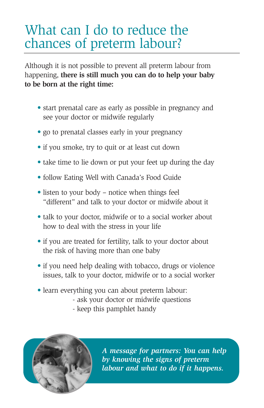# What can I do to reduce the chances of preterm labour?

Although it is not possible to prevent all preterm labour from happening, **there is still much you can do to help your baby to be born at the right time:**

- start prenatal care as early as possible in pregnancy and see your doctor or midwife regularly
- go to prenatal classes early in your pregnancy
- if you smoke, try to quit or at least cut down
- take time to lie down or put your feet up during the day
- follow Eating Well with Canada's Food Guide
- listen to your body notice when things feel "different" and talk to your doctor or midwife about it
- talk to your doctor, midwife or to a social worker about how to deal with the stress in your life
- if you are treated for fertility, talk to your doctor about the risk of having more than one baby
- if you need help dealing with tobacco, drugs or violence issues, talk to your doctor, midwife or to a social worker
- learn everything you can about preterm labour:
	- ask your doctor or midwife questions
	- keep this pamphlet handy



*A message for partners: You can help by knowing the signs of preterm labour and what to do if it happens.*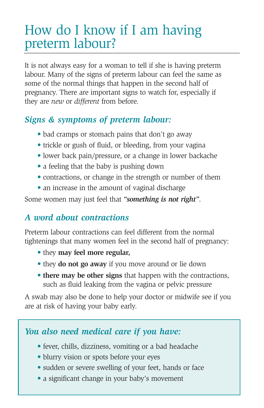# How do I know if I am having preterm labour?

It is not always easy for a woman to tell if she is having preterm labour. Many of the signs of preterm labour can feel the same as some of the normal things that happen in the second half of pregnancy. There are important signs to watch for, especially if they are *new* or *different* from before.

## *Signs & symptoms of preterm labour:*

- bad cramps or stomach pains that don't go away
- trickle or gush of fluid, or bleeding, from your vagina
- lower back pain/pressure, or a change in lower backache
- a feeling that the baby is pushing down
- contractions, or change in the strength or number of them
- an increase in the amount of vaginal discharge

Some women may just feel that *"something is not right"*.

## *A word about contractions*

Preterm labour contractions can feel different from the normal tightenings that many women feel in the second half of pregnancy:

- they **may feel more regular,**
- they **do not go away** if you move around or lie down
- **there may be other signs** that happen with the contractions, such as fluid leaking from the vagina or pelvic pressure

A swab may also be done to help your doctor or midwife see if you are at risk of having your baby early.

## *You also need medical care if you have:*

- fever, chills, dizziness, vomiting or a bad headache
- blurry vision or spots before your eyes
- sudden or severe swelling of your feet, hands or face
- a significant change in your baby's movement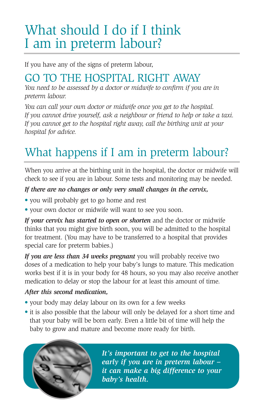# What should I do if I think I am in preterm labour?

If you have any of the signs of preterm labour,

## GO TO THE HOSPITAL RIGHT AWAY

*You need to be assessed by a doctor or midwife to confirm if you are in preterm labour.*

*You can call your own doctor or midwife once you get to the hospital. If you cannot drive yourself, ask a neighbour or friend to help or take a taxi. If you cannot get to the hospital right away, call the birthing unit at your hospital for advice.*

# What happens if I am in preterm labour?

When you arrive at the birthing unit in the hospital, the doctor or midwife will check to see if you are in labour. Some tests and monitoring may be needed.

## *If there are no changes or only very small changes in the cervix,*

- you will probably get to go home and rest
- your own doctor or midwife will want to see you soon.

*If your cervix has started to open or shorten* and the doctor or midwife thinks that you might give birth soon, you will be admitted to the hospital for treatment. (You may have to be transferred to a hospital that provides special care for preterm babies.)

*If you are less than 34 weeks pregnant* you will probably receive two doses of a medication to help your baby's lungs to mature. This medication works best if it is in your body for 48 hours, so you may also receive another medication to delay or stop the labour for at least this amount of time.

### *After this second medication,*

- your body may delay labour on its own for a few weeks
- it is also possible that the labour will only be delayed for a short time and that your baby will be born early. Even a little bit of time will help the baby to grow and mature and become more ready for birth.



*It's important to get to the hospital early if you are in preterm labour – it can make a big difference to your baby's health.*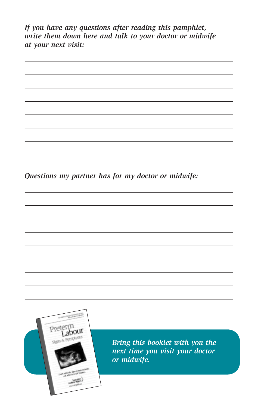*If you have any questions after reading this pamphlet, write them down here and talk to your doctor or midwife at your next visit:*